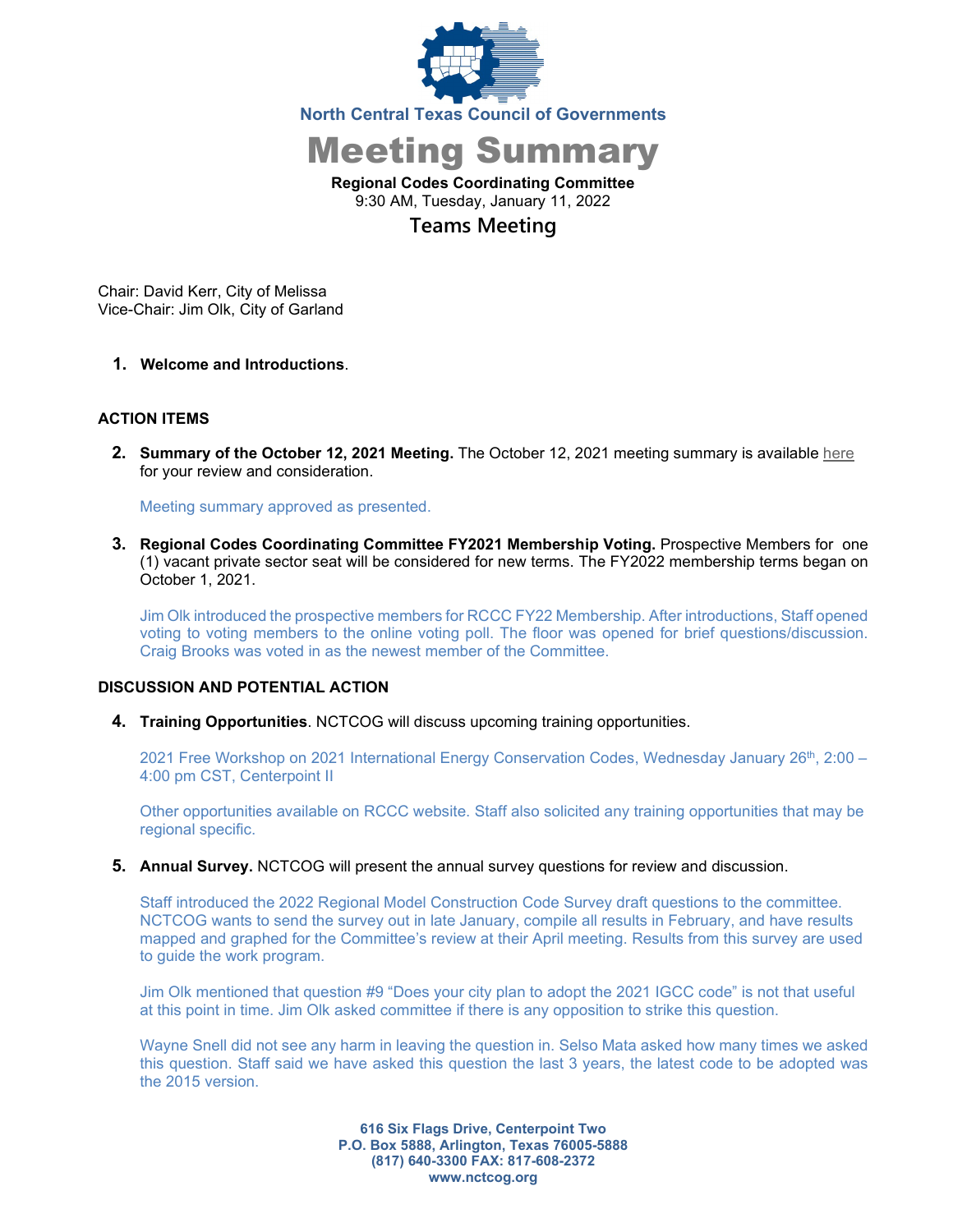

Meeting Summary

**Regional Codes Coordinating Committee** 9:30 AM, Tuesday, January 11, 2022

**Teams Meeting**

Chair: David Kerr, City of Melissa Vice-Chair: Jim Olk, City of Garland

**1. Welcome and Introductions**.

## **ACTION ITEMS**

**2. Summary of the October 12, 2021 Meeting.** The October 12, 2021 meeting summary is available [here](https://www.nctcog.org/nctcg/media/Environment-and-Development/Committee%20Documents/RCCC/FY2022/RCCC_Summary_and-Attendance_10_12_2021-draft.pdf?ext=.pdf) for your review and consideration.

Meeting summary approved as presented.

**3. Regional Codes Coordinating Committee FY2021 Membership Voting.** Prospective Members for one (1) vacant private sector seat will be considered for new terms. The FY2022 membership terms began on October 1, 2021.

Jim Olk introduced the prospective members for RCCC FY22 Membership. After introductions, Staff opened voting to voting members to the online voting poll. The floor was opened for brief questions/discussion. Craig Brooks was voted in as the newest member of the Committee.

## **DISCUSSION AND POTENTIAL ACTION**

**4. Training Opportunities**. NCTCOG will discuss upcoming training opportunities.

2021 Free Workshop on 2021 International Energy Conservation Codes, Wednesday January 26<sup>th</sup>, 2:00 -4:00 pm CST, Centerpoint II

Other opportunities available on RCCC website. Staff also solicited any training opportunities that may be regional specific.

**5. Annual Survey.** NCTCOG will present the annual survey questions for review and discussion.

Staff introduced the 2022 Regional Model Construction Code Survey draft questions to the committee. NCTCOG wants to send the survey out in late January, compile all results in February, and have results mapped and graphed for the Committee's review at their April meeting. Results from this survey are used to guide the work program.

Jim Olk mentioned that question #9 "Does your city plan to adopt the 2021 IGCC code" is not that useful at this point in time. Jim Olk asked committee if there is any opposition to strike this question.

Wayne Snell did not see any harm in leaving the question in. Selso Mata asked how many times we asked this question. Staff said we have asked this question the last 3 years, the latest code to be adopted was the 2015 version.

> **616 Six Flags Drive, Centerpoint Two P.O. Box 5888, Arlington, Texas 76005-5888 (817) 640-3300 FAX: 817-608-2372 www.nctcog.org**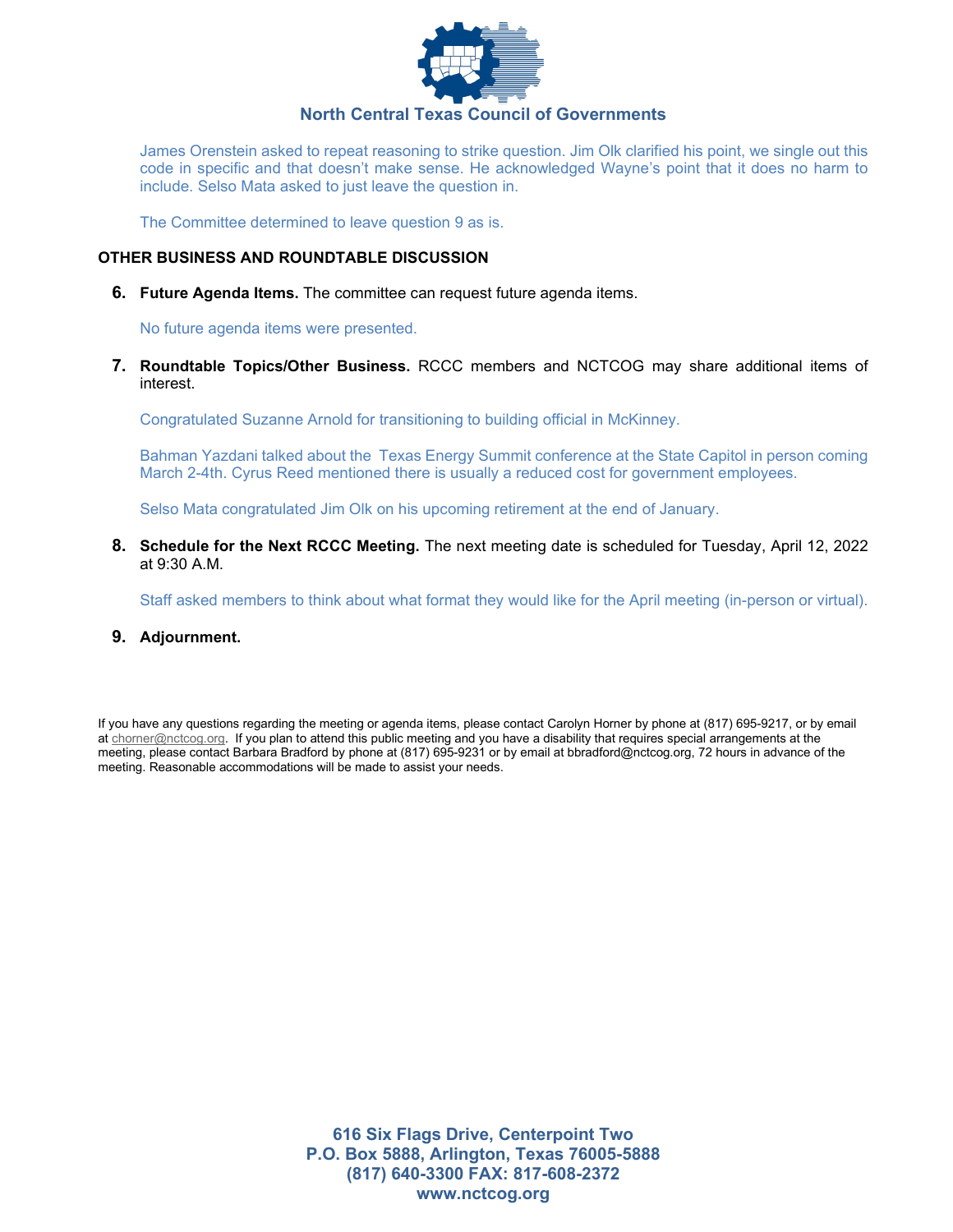

James Orenstein asked to repeat reasoning to strike question. Jim Olk clarified his point, we single out this code in specific and that doesn't make sense. He acknowledged Wayne's point that it does no harm to include. Selso Mata asked to just leave the question in.

The Committee determined to leave question 9 as is.

## **OTHER BUSINESS AND ROUNDTABLE DISCUSSION**

**6. Future Agenda Items.** The committee can request future agenda items.

No future agenda items were presented.

**7. Roundtable Topics/Other Business.** RCCC members and NCTCOG may share additional items of interest.

Congratulated Suzanne Arnold for transitioning to building official in McKinney.

Bahman Yazdani talked about the Texas Energy Summit conference at the State Capitol in person coming March 2-4th. Cyrus Reed mentioned there is usually a reduced cost for government employees.

Selso Mata congratulated Jim Olk on his upcoming retirement at the end of January.

**8. Schedule for the Next RCCC Meeting.** The next meeting date is scheduled for Tuesday, April 12, 2022 at 9:30 A.M.

Staff asked members to think about what format they would like for the April meeting (in-person or virtual).

**9. Adjournment.** 

If you have any questions regarding the meeting or agenda items, please contact Carolyn Horner by phone at (817) 695-9217, or by email at [chorner@nctcog.org.](mailto:chorner@nctcog.org) If you plan to attend this public meeting and you have a disability that requires special arrangements at the meeting, please contact Barbara Bradford by phone at (817) 695-9231 or by email at bbradford@nctcog.org, 72 hours in advance of the meeting. Reasonable accommodations will be made to assist your needs.

> **616 Six Flags Drive, Centerpoint Two P.O. Box 5888, Arlington, Texas 76005-5888 (817) 640-3300 FAX: 817-608-2372 www.nctcog.org**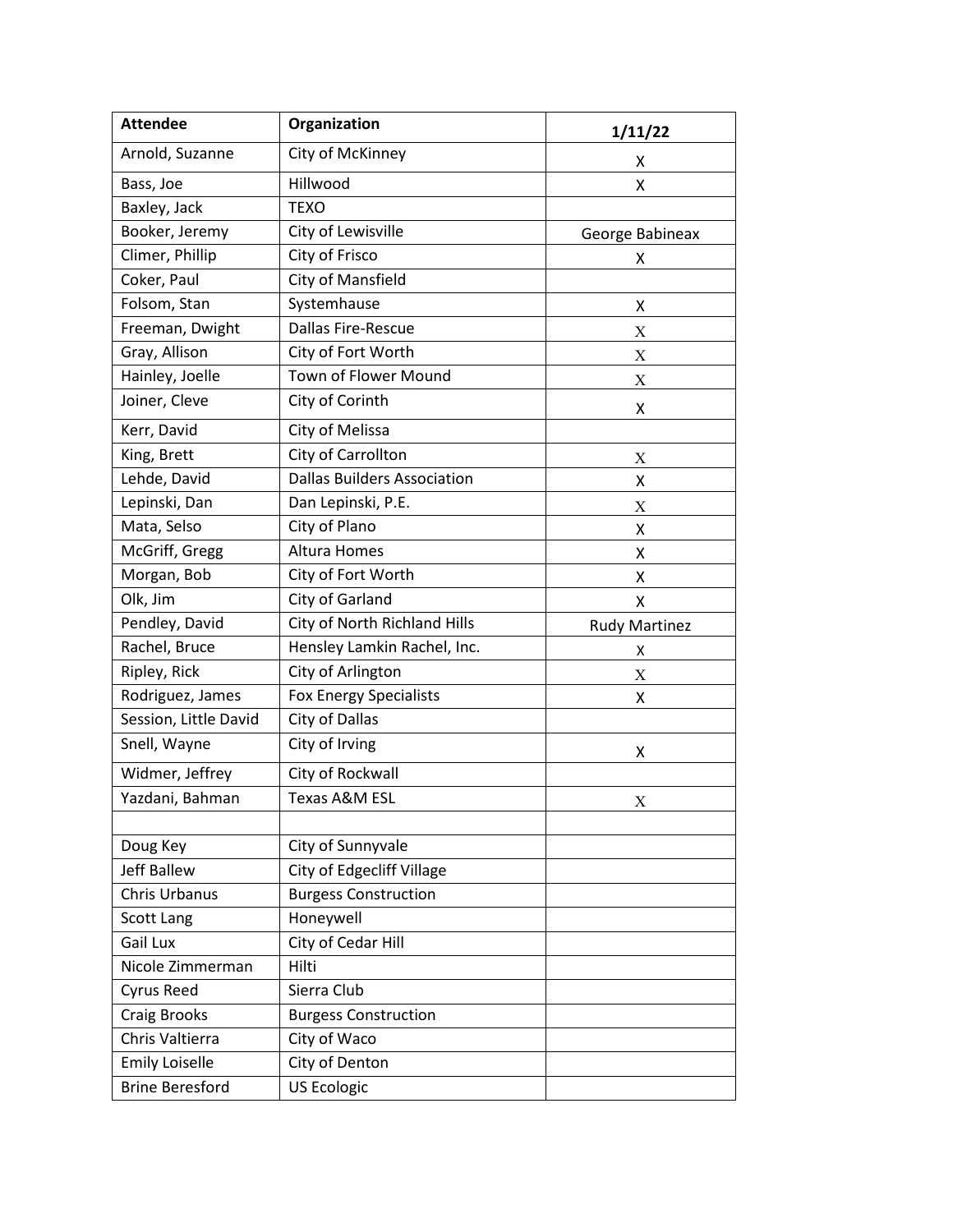| <b>Attendee</b>        | Organization                       | 1/11/22              |
|------------------------|------------------------------------|----------------------|
| Arnold, Suzanne        | City of McKinney                   | х                    |
| Bass, Joe              | Hillwood                           | Χ                    |
| Baxley, Jack           | <b>TEXO</b>                        |                      |
| Booker, Jeremy         | City of Lewisville                 | George Babineax      |
| Climer, Phillip        | City of Frisco                     | X.                   |
| Coker, Paul            | <b>City of Mansfield</b>           |                      |
| Folsom, Stan           | Systemhause                        | Χ                    |
| Freeman, Dwight        | Dallas Fire-Rescue                 | X                    |
| Gray, Allison          | City of Fort Worth                 | X                    |
| Hainley, Joelle        | Town of Flower Mound               | X                    |
| Joiner, Cleve          | City of Corinth                    | X                    |
| Kerr, David            | City of Melissa                    |                      |
| King, Brett            | City of Carrollton                 | X                    |
| Lehde, David           | <b>Dallas Builders Association</b> | X                    |
| Lepinski, Dan          | Dan Lepinski, P.E.                 | Χ                    |
| Mata, Selso            | City of Plano                      | Χ                    |
| McGriff, Gregg         | <b>Altura Homes</b>                | x                    |
| Morgan, Bob            | City of Fort Worth                 | X                    |
| Olk, Jim               | City of Garland                    | Χ                    |
| Pendley, David         | City of North Richland Hills       | <b>Rudy Martinez</b> |
| Rachel, Bruce          | Hensley Lamkin Rachel, Inc.        | x                    |
| Ripley, Rick           | City of Arlington                  | Χ                    |
| Rodriguez, James       | <b>Fox Energy Specialists</b>      | x                    |
| Session, Little David  | City of Dallas                     |                      |
| Snell, Wayne           | City of Irving                     | x                    |
| Widmer, Jeffrey        | City of Rockwall                   |                      |
| Yazdani, Bahman        | <b>Texas A&amp;M ESL</b>           | X                    |
|                        |                                    |                      |
| Doug Key               | City of Sunnyvale                  |                      |
| <b>Jeff Ballew</b>     | City of Edgecliff Village          |                      |
| Chris Urbanus          | <b>Burgess Construction</b>        |                      |
| <b>Scott Lang</b>      | Honeywell                          |                      |
| Gail Lux               | City of Cedar Hill                 |                      |
| Nicole Zimmerman       | Hilti                              |                      |
| Cyrus Reed             | Sierra Club                        |                      |
| <b>Craig Brooks</b>    | <b>Burgess Construction</b>        |                      |
| Chris Valtierra        | City of Waco                       |                      |
| <b>Emily Loiselle</b>  | City of Denton                     |                      |
| <b>Brine Beresford</b> | <b>US Ecologic</b>                 |                      |